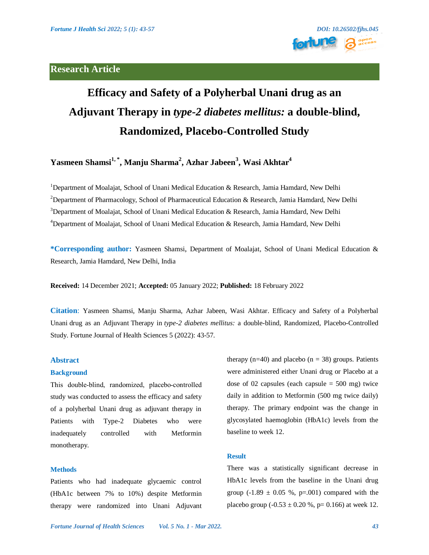# **Research Article**



# **Efficacy and Safety of a Polyherbal Unani drug as an Adjuvant Therapy in** *type-2 diabetes mellitus:* **a double-blind, Randomized, Placebo-Controlled Study**

**Yasmeen Shamsi1, \*, Manju Sharma<sup>2</sup> , Azhar Jabeen<sup>3</sup> , Wasi Akhtar<sup>4</sup>**

<sup>1</sup>Department of Moalajat, School of Unani Medical Education & Research, Jamia Hamdard, New Delhi <sup>2</sup>Department of Pharmacology, School of Pharmaceutical Education & Research, Jamia Hamdard, New Delhi <sup>3</sup>Department of Moalajat, School of Unani Medical Education & Research, Jamia Hamdard, New Delhi <sup>4</sup>Department of Moalajat, School of Unani Medical Education & Research, Jamia Hamdard, New Delhi

**\*Corresponding author:** Yasmeen Shamsi, Department of Moalajat, School of Unani Medical Education & Research, Jamia Hamdard, New Delhi, India

**Received:** 14 December 2021; **Accepted:** 05 January 2022; **Published:** 18 February 2022

**Citation**: Yasmeen Shamsi, Manju Sharma, Azhar Jabeen, Wasi Akhtar. Efficacy and Safety of a Polyherbal Unani drug as an Adjuvant Therapy in *type-2 diabetes mellitus:* a double-blind, Randomized, Placebo-Controlled Study. Fortune Journal of Health Sciences 5 (2022): 43-57.

# **Abstract**

### **Background**

This double-blind, randomized, placebo-controlled study was conducted to assess the efficacy and safety of a polyherbal Unani drug as adjuvant therapy in Patients with Type-2 Diabetes who were inadequately controlled with Metformin monotherapy.

#### **Methods**

Patients who had inadequate glycaemic control (HbA1c between 7% to 10%) despite Metformin therapy were randomized into Unani Adjuvant therapy (n=40) and placebo (n = 38) groups. Patients were administered either Unani drug or Placebo at a dose of 02 capsules (each capsule  $= 500$  mg) twice daily in addition to Metformin (500 mg twice daily) therapy. The primary endpoint was the change in glycosylated haemoglobin (HbA1c) levels from the baseline to week 12.

# **Result**

There was a statistically significant decrease in HbA1c levels from the baseline in the Unani drug group (-1.89  $\pm$  0.05 %, p=.001) compared with the placebo group  $(-0.53 \pm 0.20 \%)$ , p= 0.166) at week 12.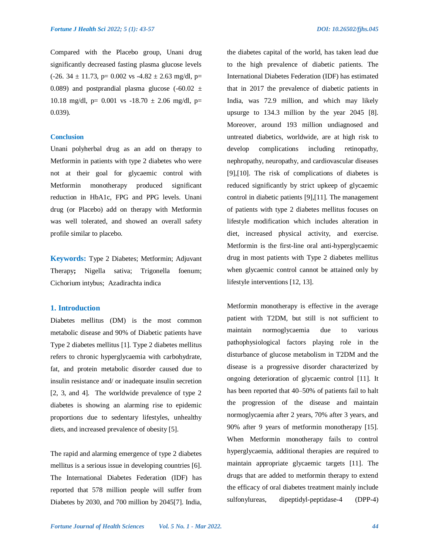Compared with the Placebo group, Unani drug significantly decreased fasting plasma glucose levels  $(-26. 34 \pm 11.73, p= 0.002 \text{ vs } -4.82 \pm 2.63 \text{ mg/dl}, p=$ 0.089) and postprandial plasma glucose  $(-60.02 \pm 1)$ 10.18 mg/dl, p= 0.001 vs -18.70  $\pm$  2.06 mg/dl, p= 0.039).

#### **Conclusion**

Unani polyherbal drug as an add on therapy to Metformin in patients with type 2 diabetes who were not at their goal for glycaemic control with Metformin monotherapy produced significant reduction in HbA1c, FPG and PPG levels. Unani drug (or Placebo) add on therapy with Metformin was well tolerated, and showed an overall safety profile similar to placebo.

**Keywords:** Type 2 Diabetes; Metformin; Adjuvant Therapy**;** Nigella sativa; Trigonella foenum; Cichorium intybus; Azadirachta indica

# **1. Introduction**

Diabetes mellitus (DM) is the most common metabolic disease and 90% of Diabetic patients have Type 2 diabetes mellitus [1]. Type 2 diabetes mellitus refers to chronic hyperglycaemia with carbohydrate, fat, and protein metabolic disorder caused due to insulin resistance and/ or inadequate insulin secretion [2, 3, and 4]. The worldwide prevalence of type 2 diabetes is showing an alarming rise to epidemic proportions due to sedentary lifestyles, unhealthy diets, and increased prevalence of obesity [5].

The rapid and alarming emergence of type 2 diabetes mellitus is a serious issue in developing countries [6]. The International Diabetes Federation (IDF) has reported that 578 million people will suffer from Diabetes by 2030, and 700 million by 2045[7]. India, the diabetes capital of the world, has taken lead due to the high prevalence of diabetic patients. The International Diabetes Federation (IDF) has estimated that in 2017 the prevalence of diabetic patients in India, was 72.9 million, and which may likely upsurge to 134.3 million by the year 2045 [8]. Moreover, around 193 million undiagnosed and untreated diabetics, worldwide, are at high risk to develop complications including retinopathy, nephropathy, neuropathy, and cardiovascular diseases [9],[10]. The risk of complications of diabetes is reduced significantly by strict upkeep of glycaemic control in diabetic patients [9],[11]. The management of patients with type 2 diabetes mellitus focuses on lifestyle modification which includes alteration in diet, increased physical activity, and exercise. Metformin is the first-line oral anti-hyperglycaemic drug in most patients with Type 2 diabetes mellitus when glycaemic control cannot be attained only by lifestyle interventions [12, 13].

Metformin monotherapy is effective in the average patient with T2DM, but still is not sufficient to maintain normoglycaemia due to various pathophysiological factors playing role in the disturbance of glucose metabolism in T2DM and the disease is a progressive disorder characterized by ongoing deterioration of glycaemic control [11]. It has been reported that 40–50% of patients fail to halt the progression of the disease and maintain normoglycaemia after 2 years, 70% after 3 years, and 90% after 9 years of metformin monotherapy [15]. When Metformin monotherapy fails to control hyperglycaemia, additional therapies are required to maintain appropriate glycaemic targets [11]. The drugs that are added to metformin therapy to extend the efficacy of oral diabetes treatment mainly include sulfonylureas, dipeptidyl-peptidase-4 (DPP-4)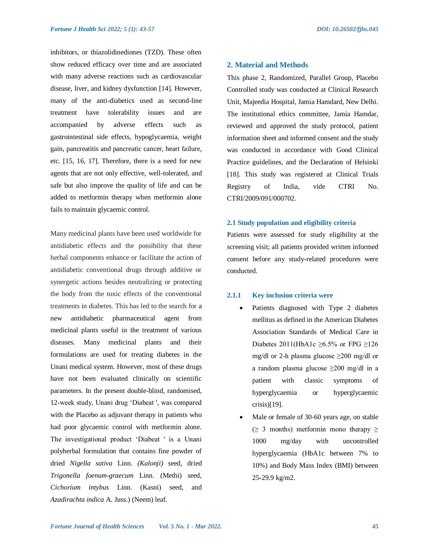inhibitors, or thiazolidinediones (TZD). These often show reduced efficacy over time and are associated with many adverse reactions such as cardiovascular disease, liver, and kidney dysfunction [14]. However, many of the anti-diabetics used as second-line treatment have tolerability issues and are accompanied by adverse effects such as gastrointestinal side effects, hypoglycaemia, weight gain, pancreatitis and pancreatic cancer, heart failure, etc. [15, 16, 17]. Therefore, there is a need for new agents that are not only effective, well-tolerated, and safe but also improve the quality of life and can be added to metformin therapy when metformin alone fails to maintain glycaemic control.

Many medicinal plants have been used worldwide for antidiabetic effects and the possibility that these herbal components enhance or facilitate the action of antidiabetic conventional drugs through additive or synergetic actions besides neutralizing or protecting the body from the toxic effects of the conventional treatments in diabetes. This has led to the search for a new antidiabetic pharmaceutical agent from medicinal plants useful in the treatment of various diseases. Many medicinal plants and their formulations are used for treating diabetes in the Unani medical system. However, most of these drugs have not been evaluated clinically on scientific parameters. In the present double-blind, randomised, 12-week study, Unani drug 'Diabeat ', was compared with the Placebo as adjuvant therapy in patients who had poor glycaemic control with metformin alone. The investigational product 'Diabeat ' is a Unani polyherbal formulation that contains fine powder of dried *Nigella sativa* Linn. *(Kalonji)* seed, dried *Trigonella foenum-graecum* Linn. (Methi) seed, *Cichorium intybus* Linn. (Kasni) seed, and *Azadirachta indica* A. Juss.) (Neem) leaf.

# **2. Material and Methods**

This phase 2, Randomized, Parallel Group, Placebo Controlled study was conducted at Clinical Research Unit, Majeedia Hospital, Jamia Hamdard, New Delhi. The institutional ethics committee, Jamia Hamdar, reviewed and approved the study protocol, patient information sheet and informed consent and the study was conducted in accordance with Good Clinical Practice guidelines, and the Declaration of Helsinki [18]. This study was registered at Clinical Trials Registry of India, vide CTRI No. CTRI/2009/091/000702.

#### **2.1 Study population and eligibility criteria**

Patients were assessed for study eligibility at the screening visit; all patients provided written informed consent before any study-related procedures were conducted.

# **2.1.1 Key inclusion criteria were**

- Patients diagnosed with Type 2 diabetes mellitus as defined in the American Diabetes Association Standards of Medical Care in Diabetes 2011(HbA1c  $\geq 6.5\%$  or FPG  $\geq 126$ mg/dl or 2-h plasma glucose  $\geq$ 200 mg/dl or a random plasma glucose ≥200 mg/dl in a patient with classic symptoms of hyperglycaemia or hyperglycaemic crisis)[19].
- Male or female of 30-60 years age, on stable  $(\geq 3$  months) metformin mono therapy  $\geq$ 1000 mg/day with uncontrolled hyperglycaemia (HbA1c between 7% to 10%) and Body Mass Index (BMI) between 25-29.9 kg/m2.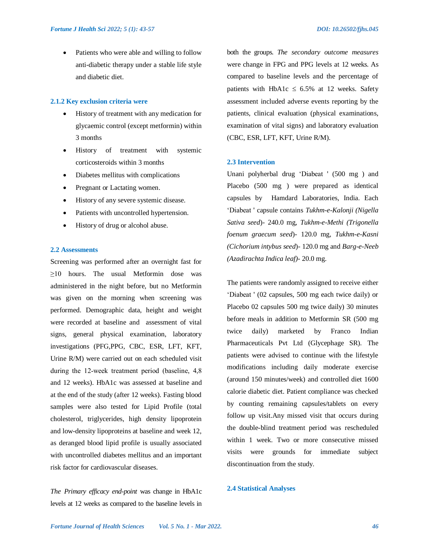Patients who were able and willing to follow anti-diabetic therapy under a stable life style and diabetic diet.

# **2.1.2 Key exclusion criteria were**

- History of treatment with any medication for glycaemic control (except metformin) within 3 months
- History of treatment with systemic corticosteroids within 3 months
- Diabetes mellitus with complications
- Pregnant or Lactating women.
- History of any severe systemic disease.
- Patients with uncontrolled hypertension.
- History of drug or alcohol abuse.

# **2.2 Assessments**

Screening was performed after an overnight fast for ≥10 hours. The usual Metformin dose was administered in the night before, but no Metformin was given on the morning when screening was performed. Demographic data, height and weight were recorded at baseline and assessment of vital signs, general physical examination, laboratory investigations (PFG,PPG, CBC, ESR, LFT, KFT, Urine R/M) were carried out on each scheduled visit during the 12‐week treatment period (baseline, 4,8 and 12 weeks). HbA1c was assessed at baseline and at the end of the study (after 12 weeks). Fasting blood samples were also tested for Lipid Profile (total cholesterol, triglycerides, high density lipoprotein and low-density lipoproteins at baseline and week 12, as deranged blood lipid profile is usually associated with uncontrolled diabetes mellitus and an important risk factor for cardiovascular diseases.

*The Primary efficacy end-point* was change in HbA1c levels at 12 weeks as compared to the baseline levels in

both the groups. *The secondary outcome measures* were change in FPG and PPG levels at 12 weeks. As compared to baseline levels and the percentage of patients with HbA1c  $\leq$  6.5% at 12 weeks. Safety assessment included adverse events reporting by the patients, clinical evaluation (physical examinations, examination of vital signs) and laboratory evaluation (CBC, ESR, LFT, KFT, Urine R/M).

#### **2.3 Intervention**

Unani polyherbal drug 'Diabeat ' (500 mg ) and Placebo (500 mg ) were prepared as identical capsules by Hamdard Laboratories, India. Each 'Diabeat ' capsule contains *Tukhm-e-Kalonji (Nigella Sativa seed*)- 240.0 mg, *Tukhm-e-Methi (Trigonella foenum graecum seed*)- 120.0 mg, *Tukhm-e-Kasni (Cichorium intybus seed*)- 120.0 mg and *Barg-e-Neeb (Azadirachta Indica leaf)-* 20.0 mg.

The patients were randomly assigned to receive either 'Diabeat ' (02 capsules, 500 mg each twice daily) or Placebo 02 capsules 500 mg twice daily) 30 minutes before meals in addition to Metformin SR (500 mg twice daily) marketed by Franco Indian Pharmaceuticals Pvt Ltd (Glycephage SR). The patients were advised to continue with the lifestyle modifications including daily moderate exercise (around 150 minutes/week) and controlled diet 1600 calorie diabetic diet. Patient compliance was checked by counting remaining capsules/tablets on every follow up visit.Any missed visit that occurs during the double-blind treatment period was rescheduled within 1 week. Two or more consecutive missed visits were grounds for immediate subject discontinuation from the study.

# **2.4 Statistical Analyses**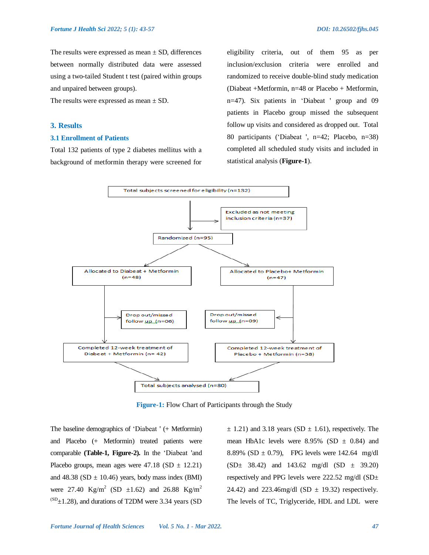The results were expressed as mean  $\pm$  SD, differences between normally distributed data were assessed using a two-tailed Student t test (paired within groups and unpaired between groups).

The results were expressed as mean  $\pm$  SD.

#### **3. Results**

# **3.1 Enrollment of Patients**

Total 132 patients of type 2 diabetes mellitus with a background of metformin therapy were screened for

eligibility criteria, out of them 95 as per inclusion/exclusion criteria were enrolled and randomized to receive double-blind study medication (Diabeat +Metformin, n=48 or Placebo + Metformin, n=47). Six patients in 'Diabeat ' group and 09 patients in Placebo group missed the subsequent follow up visits and considered as dropped out. Total 80 participants ('Diabeat ', n=42; Placebo, n=38) completed all scheduled study visits and included in statistical analysis (**Figure-1**).



**Figure-1:** Flow Chart of Participants through the Study

The baseline demographics of 'Diabeat ' (+ Metformin) and Placebo (+ Metformin) treated patients were comparable **(Table-1, Figure-2).** In the 'Diabeat 'and Placebo groups, mean ages were  $47.18$  (SD  $\pm$  12.21) and 48.38 (SD  $\pm$  10.46) years, body mass index (BMI) were 27.40 Kg/m<sup>2</sup> (SD  $\pm 1.62$ ) and 26.88 Kg/m<sup>2</sup>  $^{(SD)}\pm1.28$ ), and durations of T2DM were 3.34 years (SD

 $\pm$  1.21) and 3.18 years (SD  $\pm$  1.61), respectively. The mean HbA1c levels were  $8.95\%$  (SD  $\pm$  0.84) and 8.89% (SD  $\pm$  0.79), FPG levels were 142.64 mg/dl  $(SD \pm 38.42)$  and 143.62 mg/dl  $(SD \pm 39.20)$ respectively and PPG levels were 222.52 mg/dl (SD± 24.42) and 223.46mg/dl (SD  $\pm$  19.32) respectively. The levels of TC, Triglyceride, HDL and LDL were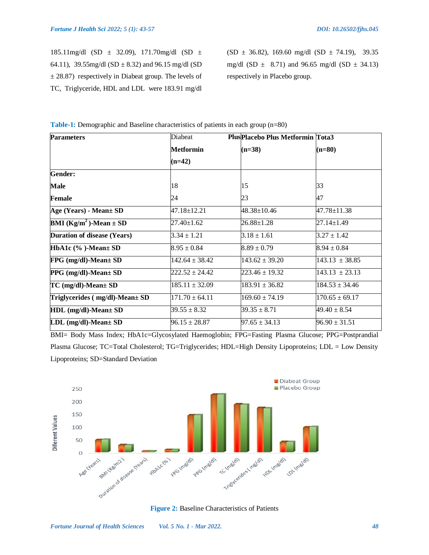185.11mg/dl (SD ± 32.09), 171.70mg/dl (SD ± 64.11), 39.55mg/dl (SD  $\pm$  8.32) and 96.15 mg/dl (SD  $\pm$  28.87) respectively in Diabeat group. The levels of TC, Triglyceride, HDL and LDL were 183.91 mg/dl

 $(SD \pm 36.82)$ , 169.60 mg/dl  $(SD \pm 74.19)$ , 39.35 mg/dl (SD  $\pm$  8.71) and 96.65 mg/dl (SD  $\pm$  34.13) respectively in Placebo group.

| <b>Parameters</b>                             | Diabeat            | <b>PlusPlacebo Plus Metformin Tota3</b> |                    |  |
|-----------------------------------------------|--------------------|-----------------------------------------|--------------------|--|
|                                               | Metformin          | $(n=38)$                                | $(n=80)$           |  |
|                                               | $(n=42)$           |                                         |                    |  |
| Gender:                                       |                    |                                         |                    |  |
| Male                                          | 18                 | 15                                      | 33                 |  |
| Female                                        | 24                 | 23                                      | 47                 |  |
| Age (Years) - Mean± SD                        | 47.18±12.21        | 48.38±10.46                             | 47.78±11.38        |  |
| <b>BMI</b> (Kg/m <sup>2</sup> )-Mean $\pm$ SD | $27.40 \pm 1.62$   | $26.88 \pm 1.28$                        | $27.14 \pm 1.49$   |  |
| <b>Duration of disease (Years)</b>            | $3.34 \pm 1.21$    | $3.18 \pm 1.61$                         | $3.27 \pm 1.42$    |  |
| HbA1c (%)-Mean± SD                            | $8.95 \pm 0.84$    | $8.89 \pm 0.79$                         | $8.94 \pm 0.84$    |  |
| $FPG$ (mg/dl)-Mean $\pm$ SD                   | $142.64 \pm 38.42$ | $143.62 \pm 39.20$                      | $143.13 \pm 38.85$ |  |
| PPG (mg/dl)-Mean± SD                          | $222.52 \pm 24.42$ | $223.46 \pm 19.32$                      | $143.13 \pm 23.13$ |  |
| $TC$ (mg/dl)-Mean $\pm$ SD                    | $185.11 \pm 32.09$ | $183.91 \pm 36.82$                      | $184.53 \pm 34.46$ |  |
| Triglycerides (mg/dl)-Mean± SD                | $171.70 \pm 64.11$ | $169.60 \pm 74.19$                      | $170.65 \pm 69.17$ |  |
| HDL (mg/dl)-Mean± SD                          | $39.55 \pm 8.32$   | $39.35 \pm 8.71$                        | $49.40 \pm 8.54$   |  |
| $LDL$ (mg/dl)-Mean $\pm$ SD                   | $96.15 \pm 28.87$  | $97.65 \pm 34.13$                       | $96.90 \pm 31.51$  |  |

**Table-1:** Demographic and Baseline characteristics of patients in each group (n=80)

BMI= Body Mass Index; HbA1c=Glycosylated Haemoglobin; FPG=Fasting Plasma Glucose; PPG=Postprandial Plasma Glucose; TC=Total Cholesterol; TG=Triglycerides; HDL=High Density Lipoproteins; LDL = Low Density Lipoproteins; SD=Standard Deviation



**Figure 2:** Baseline Characteristics of Patients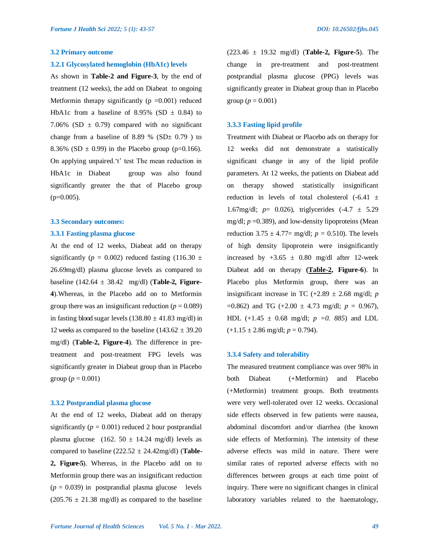#### **3.2 Primary outcome**

#### **3.2.1 Glycosylated hemoglobin (HbA1c) levels**

As shown in **Table-2 and Figure-3**, by the end of treatment (12 weeks), the add on Diabeat to ongoing Metformin therapy significantly  $(p = 0.001)$  reduced HbA1c from a baseline of 8.95% (SD  $\pm$  0.84) to 7.06% (SD  $\pm$  0.79) compared with no significant change from a baseline of 8.89 % (SD $\pm$  0.79 ) to 8.36% (SD  $\pm$  0.99) in the Placebo group (p=0.166). On applying unpaired.'t' test The mean reduction in HbA1c in Diabeat group was also found significantly greater the that of Placebo group  $(p=0.005)$ .

#### **3.3 Secondary outcomes:**

#### **3.3.1 Fasting plasma glucose**

At the end of 12 weeks, Diabeat add on therapy significantly ( $p = 0.002$ ) reduced fasting (116.30  $\pm$ 26.69mg/dl) plasma glucose levels as compared to baseline (142.64 ± 38.42 mg/dl) (**Table-2, Figure-4**).Whereas, in the Placebo add on to Metformin group there was an insignificant reduction  $(p = 0.089)$ in fasting blood sugar levels  $(138.80 \pm 41.83 \text{ mg/dl})$  in 12 weeks as compared to the baseline  $(143.62 \pm 39.20)$ mg/dl) (**Table-2, Figure-4**). The difference in pretreatment and post-treatment FPG levels was significantly greater in Diabeat group than in Placebo group ( $p = 0.001$ )

#### **3.3.2 Postprandial plasma glucose**

At the end of 12 weeks, Diabeat add on therapy significantly  $(p = 0.001)$  reduced 2 hour postprandial plasma glucose (162. 50  $\pm$  14.24 mg/dl) levels as compared to baseline  $(222.52 \pm 24.42 \text{mg/dl})$  (**Table-2, Figure-5**). Whereas, in the Placebo add on to Metformin group there was an insignificant reduction  $(p = 0.039)$  in postprandial plasma glucose levels  $(205.76 \pm 21.38 \text{ mg/dl})$  as compared to the baseline

(223.46 ± 19.32 mg/dl) (**Table-2, Figure-5**). The change in pre-treatment and post-treatment postprandial plasma glucose (PPG) levels was significantly greater in Diabeat group than in Placebo group ( $p = 0.001$ )

#### **3.3.3 Fasting lipid profile**

Treatment with Diabeat or Placebo ads on therapy for 12 weeks did not demonstrate a statistically significant change in any of the lipid profile parameters. At 12 weeks, the patients on Diabeat add on therapy showed statistically insignificant reduction in levels of total cholesterol  $(-6.41 \pm$ 1.67mg/dl; *p*= 0.026), triglycerides (-4.7 ± 5.29 mg/dl; *p* =0.389), and low-density lipoproteins (Mean reduction  $3.75 \pm 4.77 = \text{mg/dl}$ ;  $p = 0.510$ ). The levels of high density lipoprotein were insignificantly increased by  $+3.65 \pm 0.80$  mg/dl after 12-week Diabeat add on therapy **(Table-2, Figure-6**). In Placebo plus Metformin group, there was an insignificant increase in TC  $(+2.89 \pm 2.68 \text{ mg/d}!)$ ; *p*  $=0.862$ ) and TG (+2.00  $\pm$  4.73 mg/dl;  $p = 0.967$ ), HDL  $(+1.45 \pm 0.68 \text{ mg/d}!)$ ;  $p = 0.885$  and LDL  $(+1.15 \pm 2.86 \text{ mg/dl}; p = 0.794).$ 

#### **3.3.4 Safety and tolerability**

The measured treatment compliance was over 98% in both Diabeat (+Metformin) and Placebo (+Metformin) treatment groups. Both treatments were very well-tolerated over 12 weeks. Occasional side effects observed in few patients were nausea, abdominal discomfort and/or diarrhea (the known side effects of Metformin). The intensity of these adverse effects was mild in nature. There were similar rates of reported adverse effects with no differences between groups at each time point of inquiry. There were no significant changes in clinical laboratory variables related to the haematology,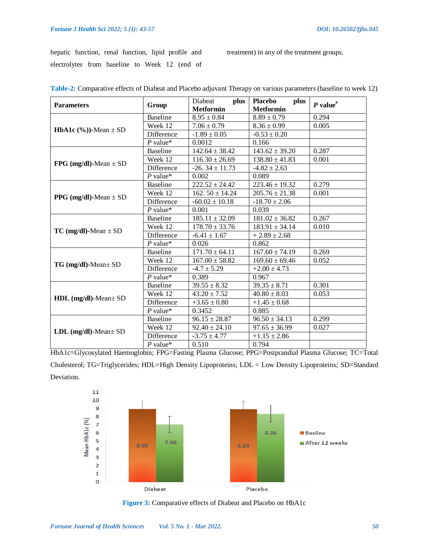hepatic function, renal function, lipid profile and electrolytes from baseline to Week 12 (end of

treatment) in any of the treatment groups.

| <b>Parameters</b>                    | Group             | plus<br>Diabeat     | <b>Placebo</b><br>plus | P value <sup>#</sup> |
|--------------------------------------|-------------------|---------------------|------------------------|----------------------|
|                                      |                   | <b>Metformin</b>    | <b>Metformin</b>       |                      |
| <b>HbA1c</b> $(\%$ ))-Mean $\pm$ SD  | <b>Baseline</b>   | $8.95 \pm 0.84$     | $8.89 \pm 0.79$        | 0.294                |
|                                      | Week 12           | $7.06 \pm 0.79$     | $8.36 \pm 0.99$        | 0.005                |
|                                      | Difference        | $-1.89 \pm 0.05$    | $-0.53 \pm 0.20$       |                      |
|                                      | $P$ value*        | 0.0012              | 0.166                  |                      |
| FPG (mg/dl)-Mean $\pm$ SD            | <b>Baseline</b>   | $142.64 \pm 38.42$  | $143.62 \pm 39.20$     | 0.287                |
|                                      | Week 12           | $116.30 \pm 26.69$  | $138.80 \pm 41.83$     | 0.001                |
|                                      | Difference        | $-26.34 \pm 11.73$  | $-4.82 \pm 2.63$       |                      |
|                                      | $P$ value*        | 0.002               | 0.089                  |                      |
| <b>PPG</b> ( $mg/dl$ )-Mean $\pm$ SD | Baseline          | $222.52 \pm 24.42$  | $223.46 \pm 19.32$     | 0.279                |
|                                      | Week 12           | 162. $50 \pm 14.24$ | $205.76 \pm 21.38$     | 0.001                |
|                                      | Difference        | $-60.02 \pm 10.18$  | $-18.70 \pm 2.06$      |                      |
|                                      | $P$ value*        | 0.001               | 0.039                  |                      |
| $TC$ (mg/dl)-Mean $\pm$ SD           | <b>Baseline</b>   | $185.11 \pm 32.09$  | $181.02 \pm 36.82$     | 0.267                |
|                                      | Week 12           | $178.70 \pm 33.76$  | $183.91 \pm 34.14$     | 0.010                |
|                                      | Difference        | $-6.41 \pm 1.67$    | $+2.89 \pm 2.68$       |                      |
|                                      | $P$ value*        | 0.026               | 0.862                  |                      |
| TG (mg/dl)-Mean± SD                  | <b>Baseline</b>   | $171.70 \pm 64.11$  | $167.60 \pm 74.19$     | 0.269                |
|                                      | Week 12           | $167.00 \pm 58.82$  | $169.60 \pm 69.46$     | 0.052                |
|                                      | Difference        | $-4.7 \pm 5.29$     | $+2.00 \pm 4.73$       |                      |
|                                      | $P$ value*        | 0.389               | 0.967                  |                      |
|                                      | Baseline          | $39.55 \pm 8.32$    | $39.35 \pm 8.71$       | 0.301                |
|                                      | Week 12           | $43.20 \pm 7.52$    | $40.80 \pm 8.03$       | 0.053                |
| $HDL$ (mg/dl)-Mean $\pm$ SD          | <b>Difference</b> | $+3.65 \pm 0.80$    | $+1.45 \pm 0.68$       |                      |
|                                      | $P$ value*        | 0.3452              | 0.885                  |                      |
| $LDL$ (mg/dl)-Mean $\pm$ SD          | <b>Baseline</b>   | $96.15 \pm 28.87$   | $96.50 \pm 34.13$      | 0.299                |
|                                      | Week 12           | $92.40 \pm 24.10$   | $97.65 \pm 36.99$      | 0.027                |
|                                      | Difference        | $-3.75 \pm 4.77$    | $+1.15 \pm 2.86$       |                      |
|                                      | $P$ value*        | 0.510               | 0.794                  |                      |

| Table-2: Comparative effects of Diabeat and Placebo adjuvant Therapy on various parameters (baseline to week 12) |  |  |  |  |
|------------------------------------------------------------------------------------------------------------------|--|--|--|--|
|------------------------------------------------------------------------------------------------------------------|--|--|--|--|

HbA1c=Glycosylated Haemoglobin; FPG=Fasting Plasma Glucose; PPG=Postprandial Plasma Glucose; TC=Total Cholesterol; TG=Triglycerides; HDL=High Density Lipoproteins; LDL = Low Density Lipoproteins; SD=Standard Deviation.



**Figure 3:** Comparative effects of Diabeat and Placebo on HbA1c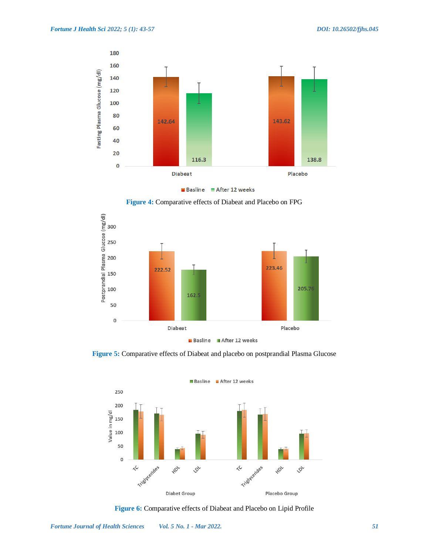

Basline After 12 weeks

**Figure 4:** Comparative effects of Diabeat and Placebo on FPG



**Figure 5:** Comparative effects of Diabeat and placebo on postprandial Plasma Glucose



**Figure 6:** Comparative effects of Diabeat and Placebo on Lipid Profile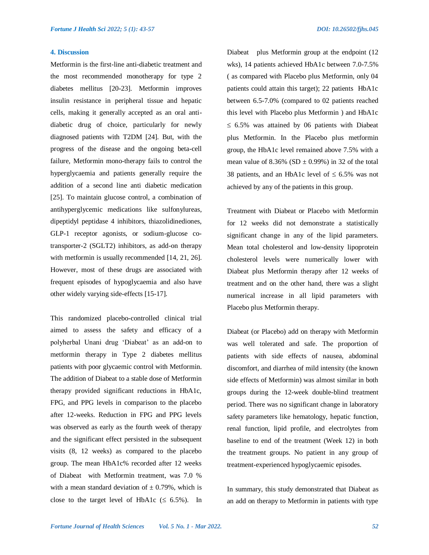#### **4. Discussion**

Metformin is the first-line anti-diabetic treatment and the most recommended monotherapy for type 2 diabetes mellitus [20-23]. Metformin improves insulin resistance in peripheral tissue and hepatic cells, making it generally accepted as an oral antidiabetic drug of choice, particularly for newly diagnosed patients with T2DM [24]. But, with the progress of the disease and the ongoing beta-cell failure, Metformin mono-therapy fails to control the hyperglycaemia and patients generally require the addition of a second line anti diabetic medication [25]. To maintain glucose control, a combination of antihyperglycemic medications like sulfonylureas, dipeptidyl peptidase 4 inhibitors, thiazolidinediones, GLP-1 receptor agonists, or sodium-glucose cotransporter-2 (SGLT2) inhibitors, as add-on therapy with metformin is usually recommended [14, 21, 26]. However, most of these drugs are associated with frequent episodes of hypoglycaemia and also have other widely varying side-effects [15-17].

This randomized placebo-controlled clinical trial aimed to assess the safety and efficacy of a polyherbal Unani drug 'Diabeat' as an add-on to metformin therapy in Type 2 diabetes mellitus patients with poor glycaemic control with Metformin. The addition of Diabeat to a stable dose of Metformin therapy provided significant reductions in HbA1c, FPG, and PPG levels in comparison to the placebo after 12-weeks. Reduction in FPG and PPG levels was observed as early as the fourth week of therapy and the significant effect persisted in the subsequent visits (8, 12 weeks) as compared to the placebo group. The mean HbA1c% recorded after 12 weeks of Diabeat with Metformin treatment, was 7.0 % with a mean standard deviation of  $\pm$  0.79%, which is close to the target level of HbA1c ( $\leq 6.5\%$ ). In

Diabeat plus Metformin group at the endpoint (12 wks), 14 patients achieved HbA1c between 7.0-7.5% ( as compared with Placebo plus Metformin, only 04 patients could attain this target); 22 patients HbA1c between 6.5-7.0% (compared to 02 patients reached this level with Placebo plus Metformin ) and HbA1c  $\leq$  6.5% was attained by 06 patients with Diabeat plus Metformin. In the Placebo plus metformin group, the HbA1c level remained above 7.5% with a mean value of 8.36% (SD  $\pm$  0.99%) in 32 of the total 38 patients, and an HbA1c level of  $\leq 6.5\%$  was not achieved by any of the patients in this group.

Treatment with Diabeat or Placebo with Metformin for 12 weeks did not demonstrate a statistically significant change in any of the lipid parameters. Mean total cholesterol and low-density lipoprotein cholesterol levels were numerically lower with Diabeat plus Metformin therapy after 12 weeks of treatment and on the other hand, there was a slight numerical increase in all lipid parameters with Placebo plus Metformin therapy.

Diabeat (or Placebo) add on therapy with Metformin was well tolerated and safe. The proportion of patients with side effects of nausea, abdominal discomfort, and diarrhea of mild intensity (the known side effects of Metformin) was almost similar in both groups during the 12-week double-blind treatment period. There was no significant change in laboratory safety parameters like hematology, hepatic function, renal function, lipid profile, and electrolytes from baseline to end of the treatment (Week 12) in both the treatment groups. No patient in any group of treatment-experienced hypoglycaemic episodes.

In summary, this study demonstrated that Diabeat as an add on therapy to Metformin in patients with type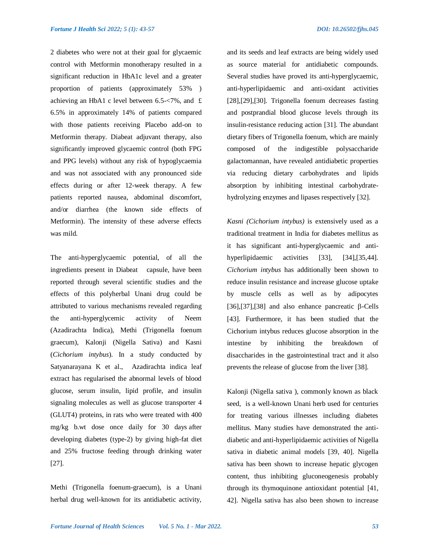2 diabetes who were not at their goal for glycaemic control with Metformin monotherapy resulted in a significant reduction in HbA1c level and a greater proportion of patients (approximately 53% ) achieving an HbA1 c level between 6.5-<7%, and £ 6.5% in approximately 14% of patients compared with those patients receiving Placebo add-on to Metformin therapy. Diabeat adjuvant therapy, also significantly improved glycaemic control (both FPG and PPG levels) without any risk of hypoglycaemia and was not associated with any pronounced side effects during or after 12-week therapy. A few patients reported nausea, abdominal discomfort, and/or diarrhea (the known side effects of Metformin). The intensity of these adverse effects was mild.

The anti-hyperglycaemic potential, of all the ingredients present in Diabeat capsule, have been reported through several scientific studies and the effects of this polyherbal Unani drug could be attributed to various mechanisms revealed regarding the anti-hyperglycemic activity of Neem (Azadirachta Indica), Methi (Trigonella foenum graecum), Kalonji (Nigella Sativa) and Kasni (*Cichorium intybus*). In a study conducted by Satyanarayana K et al., Azadirachta indica leaf extract has regularised the abnormal levels of blood glucose, serum insulin, lipid profile, and insulin signaling molecules as well as glucose transporter 4 (GLUT4) proteins, in rats who were treated with 400 mg/kg b.wt dose once daily for 30 days after developing diabetes (type-2) by giving high-fat diet and 25% fructose feeding through drinking water [27].

Methi (Trigonella foenum-graecum), is a Unani herbal drug well-known for its antidiabetic activity, and its seeds and leaf extracts are being widely used as source material for antidiabetic compounds. Several studies have proved its anti-hyperglycaemic, anti-hyperlipidaemic and anti-oxidant activities [28],[29],[30]. Trigonella foenum decreases fasting and postprandial blood glucose levels through its insulin-resistance reducing action [31]. The abundant dietary fibers of Trigonella foenum, which are mainly composed of the indigestible polysaccharide galactomannan, have revealed antidiabetic properties via reducing dietary carbohydrates and lipids absorption by inhibiting intestinal carbohydratehydrolyzing enzymes and lipases respectively [32].

*Kasni (Cichorium intybus)* is extensively used as a traditional treatment in India for diabetes mellitus as it has significant anti-hyperglycaemic and antihyperlipidaemic activities [33], [34],[35,44]. *Cichorium intybus* has additionally been shown to reduce insulin resistance and increase glucose uptake by muscle cells as well as by adipocytes [36],[37],[38] and also enhance pancreatic  $\beta$ -Cells [43]. Furthermore, it has been studied that the Cichorium intybus reduces glucose absorption in the intestine by inhibiting the breakdown of disaccharides in the gastrointestinal tract and it also prevents the release of glucose from the liver [38].

Kalonji (Nigella sativa ), commonly known as black seed, is a well-known Unani herb used for centuries for treating various illnesses including diabetes mellitus. Many studies have demonstrated the antidiabetic and anti-hyperlipidaemic activities of Nigella sativa in diabetic animal models [39, 40]. Nigella sativa has been shown to increase hepatic glycogen content, thus inhibiting gluconeogenesis probably through its thymoquinone antioxidant potential [41, 42]. Nigella sativa has also been shown to increase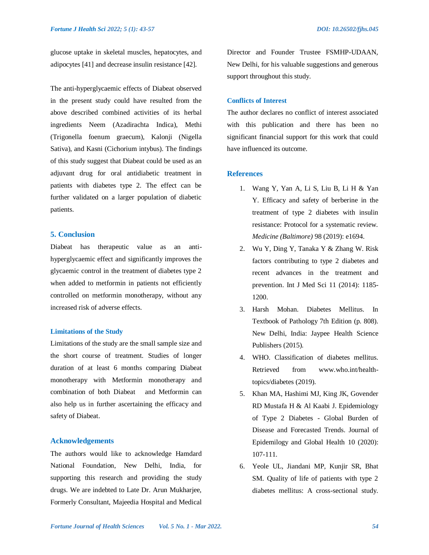glucose uptake in skeletal muscles, hepatocytes, and adipocytes [41] and decrease insulin resistance [42].

The anti-hyperglycaemic effects of Diabeat observed in the present study could have resulted from the above described combined activities of its herbal ingredients Neem (Azadirachta Indica), Methi (Trigonella foenum graecum), Kalonji (Nigella Sativa), and Kasni (Cichorium intybus). The findings of this study suggest that Diabeat could be used as an adjuvant drug for oral antidiabetic treatment in patients with diabetes type 2. The effect can be further validated on a larger population of diabetic patients.

# **5. Conclusion**

Diabeat has therapeutic value as an antihyperglycaemic effect and significantly improves the glycaemic control in the treatment of diabetes type 2 when added to metformin in patients not efficiently controlled on metformin monotherapy, without any increased risk of adverse effects.

# **Limitations of the Study**

Limitations of the study are the small sample size and the short course of treatment. Studies of longer duration of at least 6 months comparing Diabeat monotherapy with Metformin monotherapy and combination of both Diabeat and Metformin can also help us in further ascertaining the efficacy and safety of Diabeat.

### **Acknowledgements**

The authors would like to acknowledge Hamdard National Foundation, New Delhi, India, for supporting this research and providing the study drugs. We are indebted to Late Dr. Arun Mukharjee, Formerly Consultant, Majeedia Hospital and Medical

Director and Founder Trustee FSMHP-UDAAN, New Delhi, for his valuable suggestions and generous support throughout this study.

# **Conflicts of Interest**

The author declares no conflict of interest associated with this publication and there has been no significant financial support for this work that could have influenced its outcome.

# **References**

- 1. Wang Y, Yan A, Li S, Liu B, Li H & Yan Y. Efficacy and safety of berberine in the treatment of type 2 diabetes with insulin resistance: Protocol for a systematic review. *Medicine (Baltimore)* 98 (2019): e1694.
- 2. Wu Y, Ding Y, Tanaka Y & Zhang W. Risk factors contributing to type 2 diabetes and recent advances in the treatment and prevention. Int J Med Sci 11 (2014): 1185- 1200.
- 3. Harsh Mohan. Diabetes Mellitus. In Textbook of Pathology 7th Edition (p. 808). New Delhi, India: Jaypee Health Science Publishers (2015).
- 4. WHO. Classification of diabetes mellitus. Retrieved from www.who.int/healthtopics/diabetes (2019).
- 5. Khan MA, Hashimi MJ, King JK, Govender RD Mustafa H & Al Kaabi J. Epidemiology of Type 2 Diabetes - Global Burden of Disease and Forecasted Trends. Journal of Epidemilogy and Global Health 10 (2020): 107-111.
- 6. Yeole UL, Jiandani MP, Kunjir SR, Bhat SM. Quality of life of patients with type 2 diabetes mellitus: A cross-sectional study.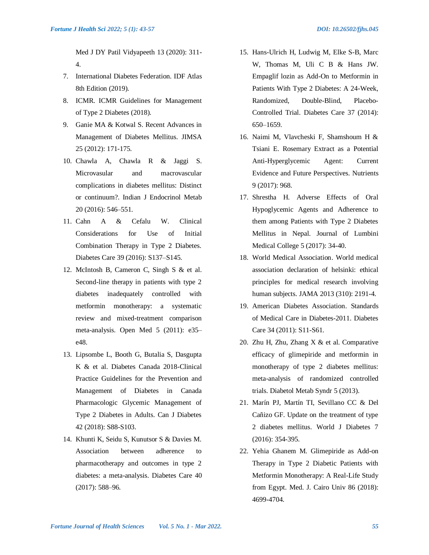Med J DY Patil Vidyapeeth 13 (2020): 311- 4.

- 7. International Diabetes Federation. IDF Atlas 8th Edition (2019).
- 8. ICMR. ICMR Guidelines for Management of Type 2 Diabetes (2018).
- 9. Ganie MA & Kotwal S. Recent Advances in Management of Diabetes Mellitus. JIMSA 25 (2012): 171-175.
- 10. Chawla A, Chawla R & Jaggi S. Microvasular and macrovascular complications in diabetes mellitus: Distinct or continuum?. Indian J Endocrinol Metab 20 (2016): 546–551.
- 11. Cahn A & Cefalu W. Clinical Considerations for Use of Initial Combination Therapy in Type 2 Diabetes. Diabetes Care 39 (2016): S137–S145.
- 12. McIntosh B, Cameron C, Singh S & et al. Second-line therapy in patients with type 2 diabetes inadequately controlled with metformin monotherapy: a systematic review and mixed-treatment comparison meta-analysis. Open Med 5 (2011): e35– e48.
- 13. Lipsombe L, Booth G, Butalia S, Dasgupta K & et al. Diabetes Canada 2018-Clinical Practice Guidelines for the Prevention and Management of Diabetes in Canada Pharmacologic Glycemic Management of Type 2 Diabetes in Adults. Can J Diabetes 42 (2018): S88-S103.
- 14. Khunti K, Seidu S, Kunutsor S & Davies M. Association between adherence to pharmacotherapy and outcomes in type 2 diabetes: a meta-analysis. Diabetes Care 40 (2017): 588–96.
- 15. Hans-Ulrich H, Ludwig M, Elke S-B, Marc W, Thomas M, Uli C B & Hans JW. Empaglif lozin as Add-On to Metformin in Patients With Type 2 Diabetes: A 24-Week, Randomized, Double-Blind, Placebo-Controlled Trial. Diabetes Care 37 (2014): 650–1659.
- 16. Naimi M, Vlavcheski F, Shamshoum H & Tsiani E. Rosemary Extract as a Potential Anti-Hyperglycemic Agent: Current Evidence and Future Perspectives. Nutrients 9 (2017): 968.
- 17. Shrestha H. Adverse Effects of Oral Hypoglycemic Agents and Adherence to them among Patients with Type 2 Diabetes Mellitus in Nepal. Journal of Lumbini Medical College 5 (2017): 34-40.
- 18. World Medical Association. World medical association declaration of helsinki: ethical principles for medical research involving human subjects. JAMA 2013 (310): 2191-4.
- 19. American Diabetes Association. Standards of Medical Care in Diabetes-2011. Diabetes Care 34 (2011): S11-S61.
- 20. Zhu H, Zhu, Zhang X & et al. Comparative efficacy of glimepiride and metformin in monotherapy of type 2 diabetes mellitus: meta-analysis of randomized controlled trials. Diabetol Metab Syndr 5 (2013).
- 21. Marín PJ, Martín TI, Sevillano CC & Del Cañizo GF. Update on the treatment of type 2 diabetes mellitus. World J Diabetes 7 (2016): 354-395.
- 22. Yehia Ghanem M. Glimepiride as Add-on Therapy in Type 2 Diabetic Patients with Metformin Monotherapy: A Real-Life Study from Egypt. Med. J. Cairo Univ 86 (2018): 4699-4704.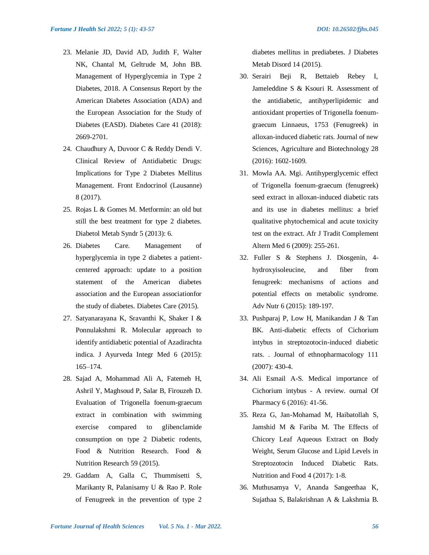- 23. Melanie JD, David AD, Judith F, Walter NK, Chantal M, Geltrude M, John BB. Management of Hyperglycemia in Type 2 Diabetes, 2018. A Consensus Report by the American Diabetes Association (ADA) and the European Association for the Study of Diabetes (EASD). Diabetes Care 41 (2018): 2669-2701.
- 24. Chaudhury A, Duvoor C & Reddy Dendi V. Clinical Review of Antidiabetic Drugs: Implications for Type 2 Diabetes Mellitus Management. Front Endocrinol (Lausanne) 8 (2017).
- 25. Rojas L & Gomes M. Metformin: an old but still the best treatment for type 2 diabetes. Diabetol Metab Syndr 5 (2013): 6.
- 26. Diabetes Care. Management of hyperglycemia in type 2 diabetes a patientcentered approach: update to a position statement of the American diabetes association and the European associationfor the study of diabetes. Diabetes Care (2015).
- 27. Satyanarayana K, Sravanthi K, Shaker I & Ponnulakshmi R. Molecular approach to identify antidiabetic potential of Azadirachta indica. J Ayurveda Integr Med 6 (2015): 165–174.
- 28. Sajad A, Mohammad Ali A, Fatemeh H, Ashril Y, Maghsoud P, Salar B, Firouzeh D. Evaluation of Trigonella foenum-graecum extract in combination with swimming exercise compared to glibenclamide consumption on type 2 Diabetic rodents, Food & Nutrition Research. Food & Nutrition Research 59 (2015).
- 29. Gaddam A, Galla C, Thummisetti S, Marikanty R, Palanisamy U & Rao P. Role of Fenugreek in the prevention of type 2

diabetes mellitus in prediabetes. J Diabetes Metab Disord 14 (2015).

- 30. Serairi Beji R, Bettaieb Rebey I, Jameleddine S & Ksouri R. Assessment of the antidiabetic, antihyperlipidemic and antioxidant properties of Trigonella foenumgraecum Linnaeus, 1753 (Fenugreek) in alloxan-induced diabetic rats. Journal of new Sciences, Agriculture and Biotechnology 28 (2016): 1602-1609.
- 31. Mowla AA. Mgi. Antihyperglycemic effect of Trigonella foenum-graecum (fenugreek) seed extract in alloxan-induced diabetic rats and its use in diabetes mellitus: a brief qualitative phytochemical and acute toxicity test on the extract. Afr J Tradit Complement Altern Med 6 (2009): 255-261.
- 32. Fuller S & Stephens J. Diosgenin, 4 hydroxyisoleucine, and fiber from fenugreek: mechanisms of actions and potential effects on metabolic syndrome. Adv Nutr 6 (2015): 189-197.
- 33. Pushparaj P, Low H, Manikandan J & Tan BK. Anti-diabetic effects of Cichorium intybus in streptozotocin-induced diabetic rats. . Journal of ethnopharmacology 111 (2007): 430-4.
- 34. Ali Esmail A-S. Medical importance of Cichorium intybus - A review. ournal Of Pharmacy 6 (2016): 41-56.
- 35. Reza G, Jan-Mohamad M, Haibatollah S, Jamshid M & Fariba M. The Effects of Chicory Leaf Aqueous Extract on Body Weight, Serum Glucose and Lipid Levels in Streptozotocin Induced Diabetic Rats. Nutrition and Food 4 (2017): 1-8.
- 36. Muthusamya V, Ananda Sangeethaa K, Sujathaa S, Balakrishnan A & Lakshmia B.